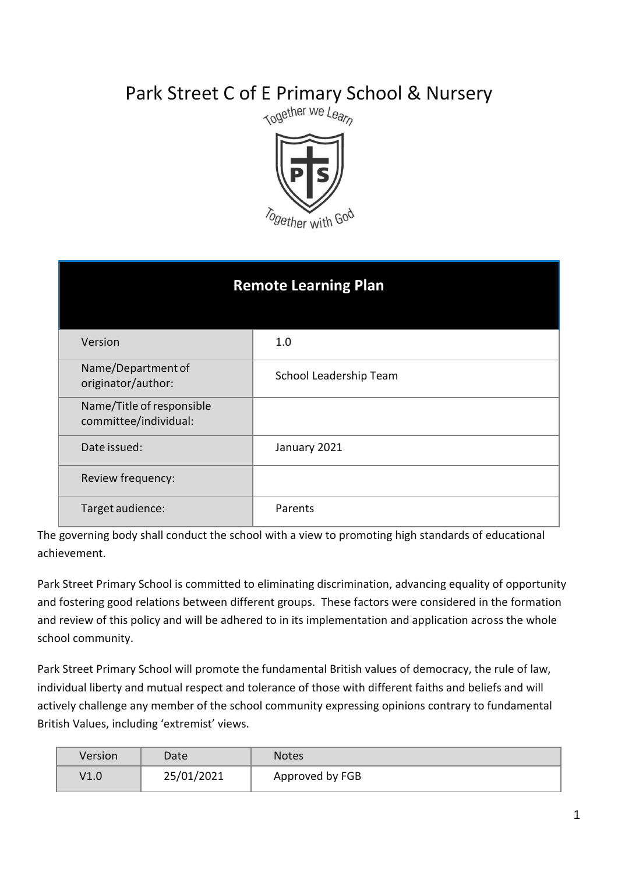# Park Street C of E Primary School & Nursery<br>  $\frac{C_{\text{OQ}}}{C_{\text{OQ}}}\sqrt{\frac{C_{\text{OQ}}}{C_{\text{OQ}}}}$



| <b>Remote Learning Plan</b>                        |                        |  |
|----------------------------------------------------|------------------------|--|
| Version                                            | 1.0                    |  |
| Name/Department of<br>originator/author:           | School Leadership Team |  |
| Name/Title of responsible<br>committee/individual: |                        |  |
| Date issued:                                       | January 2021           |  |
| Review frequency:                                  |                        |  |
| Target audience:                                   | Parents                |  |

The governing body shall conduct the school with a view to promoting high standards of educational achievement.

Park Street Primary School is committed to eliminating discrimination, advancing equality of opportunity and fostering good relations between different groups. These factors were considered in the formation and review of this policy and will be adhered to in its implementation and application across the whole school community.

Park Street Primary School will promote the fundamental British values of democracy, the rule of law, individual liberty and mutual respect and tolerance of those with different faiths and beliefs and will actively challenge any member of the school community expressing opinions contrary to fundamental British Values, including 'extremist' views.

| Version         | Date       | <b>Notes</b>    |
|-----------------|------------|-----------------|
| $\mathsf{V}1.0$ | 25/01/2021 | Approved by FGB |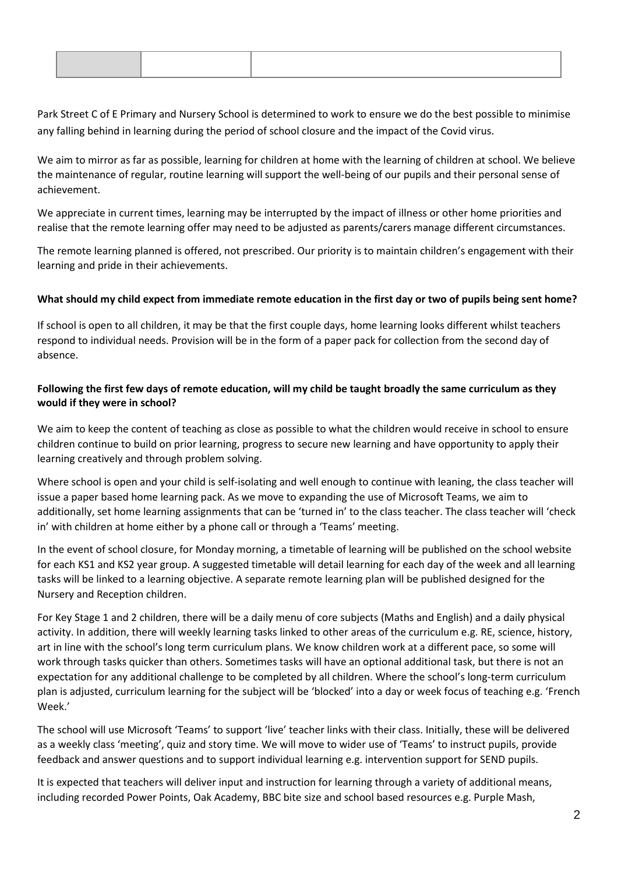Park Street C of E Primary and Nursery School is determined to work to ensure we do the best possible to minimise any falling behind in learning during the period of school closure and the impact of the Covid virus.

We aim to mirror as far as possible, learning for children at home with the learning of children at school. We believe the maintenance of regular, routine learning will support the well-being of our pupils and their personal sense of achievement.

We appreciate in current times, learning may be interrupted by the impact of illness or other home priorities and realise that the remote learning offer may need to be adjusted as parents/carers manage different circumstances.

The remote learning planned is offered, not prescribed. Our priority is to maintain children's engagement with their learning and pride in their achievements.

## **What should my child expect from immediate remote education in the first day or two of pupils being sent home?**

If school is open to all children, it may be that the first couple days, home learning looks different whilst teachers respond to individual needs. Provision will be in the form of a paper pack for collection from the second day of absence.

# **Following the first few days of remote education, will my child be taught broadly the same curriculum as they would if they were in school?**

We aim to keep the content of teaching as close as possible to what the children would receive in school to ensure children continue to build on prior learning, progress to secure new learning and have opportunity to apply their learning creatively and through problem solving.

Where school is open and your child is self-isolating and well enough to continue with leaning, the class teacher will issue a paper based home learning pack. As we move to expanding the use of Microsoft Teams, we aim to additionally, set home learning assignments that can be 'turned in' to the class teacher. The class teacher will 'check in' with children at home either by a phone call or through a 'Teams' meeting.

In the event of school closure, for Monday morning, a timetable of learning will be published on the school website for each KS1 and KS2 year group. A suggested timetable will detail learning for each day of the week and all learning tasks will be linked to a learning objective. A separate remote learning plan will be published designed for the Nursery and Reception children.

For Key Stage 1 and 2 children, there will be a daily menu of core subjects (Maths and English) and a daily physical activity. In addition, there will weekly learning tasks linked to other areas of the curriculum e.g. RE, science, history, art in line with the school's long term curriculum plans. We know children work at a different pace, so some will work through tasks quicker than others. Sometimes tasks will have an optional additional task, but there is not an expectation for any additional challenge to be completed by all children. Where the school's long-term curriculum plan is adjusted, curriculum learning for the subject will be 'blocked' into a day or week focus of teaching e.g. 'French Week.'

The school will use Microsoft 'Teams' to support 'live' teacher links with their class. Initially, these will be delivered as a weekly class 'meeting', quiz and story time. We will move to wider use of 'Teams' to instruct pupils, provide feedback and answer questions and to support individual learning e.g. intervention support for SEND pupils.

It is expected that teachers will deliver input and instruction for learning through a variety of additional means, including recorded Power Points, Oak Academy, BBC bite size and school based resources e.g. Purple Mash,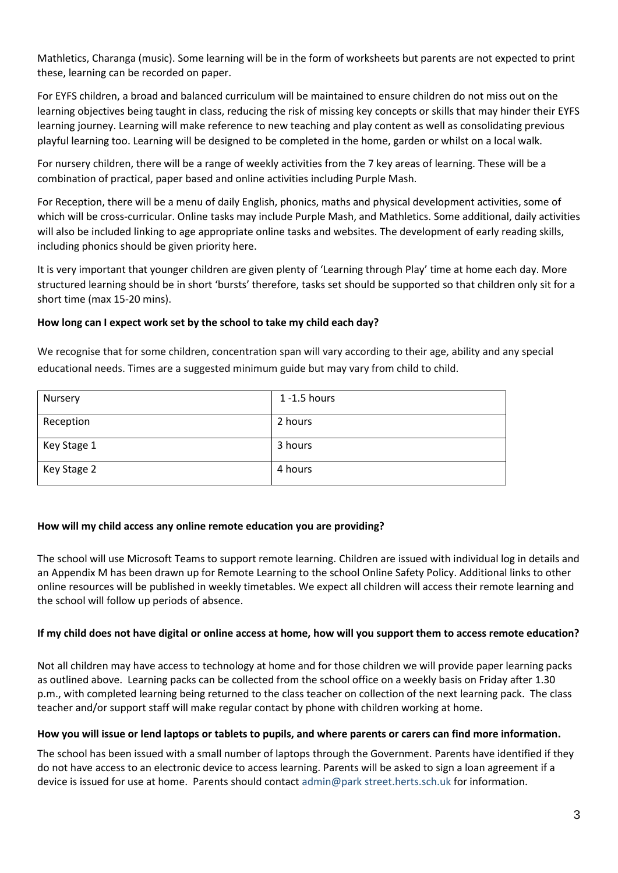Mathletics, Charanga (music). Some learning will be in the form of worksheets but parents are not expected to print these, learning can be recorded on paper.

For EYFS children, a broad and balanced curriculum will be maintained to ensure children do not miss out on the learning objectives being taught in class, reducing the risk of missing key concepts or skills that may hinder their EYFS learning journey. Learning will make reference to new teaching and play content as well as consolidating previous playful learning too. Learning will be designed to be completed in the home, garden or whilst on a local walk.

For nursery children, there will be a range of weekly activities from the 7 key areas of learning. These will be a combination of practical, paper based and online activities including Purple Mash.

For Reception, there will be a menu of daily English, phonics, maths and physical development activities, some of which will be cross-curricular. Online tasks may include Purple Mash, and Mathletics. Some additional, daily activities will also be included linking to age appropriate online tasks and websites. The development of early reading skills, including phonics should be given priority here.

It is very important that younger children are given plenty of 'Learning through Play' time at home each day. More structured learning should be in short 'bursts' therefore, tasks set should be supported so that children only sit for a short time (max 15-20 mins).

# **How long can I expect work set by the school to take my child each day?**

We recognise that for some children, concentration span will vary according to their age, ability and any special educational needs. Times are a suggested minimum guide but may vary from child to child.

| Nursery     | $1 - 1.5$ hours |
|-------------|-----------------|
| Reception   | 2 hours         |
| Key Stage 1 | 3 hours         |
| Key Stage 2 | 4 hours         |

# **How will my child access any online remote education you are providing?**

The school will use Microsoft Teams to support remote learning. Children are issued with individual log in details and an Appendix M has been drawn up for Remote Learning to the school Online Safety Policy. Additional links to other online resources will be published in weekly timetables. We expect all children will access their remote learning and the school will follow up periods of absence.

# **If my child does not have digital or online access at home, how will you support them to access remote education?**

Not all children may have access to technology at home and for those children we will provide paper learning packs as outlined above. Learning packs can be collected from the school office on a weekly basis on Friday after 1.30 p.m., with completed learning being returned to the class teacher on collection of the next learning pack. The class teacher and/or support staff will make regular contact by phone with children working at home.

#### **How you will issue or lend laptops or tablets to pupils, and where parents or carers can find more information.**

The school has been issued with a small number of laptops through the Government. Parents have identified if they do not have access to an electronic device to access learning. Parents will be asked to sign a loan agreement if a device is issued for use at home. Parents should contact admin@park street.herts.sch.uk for information.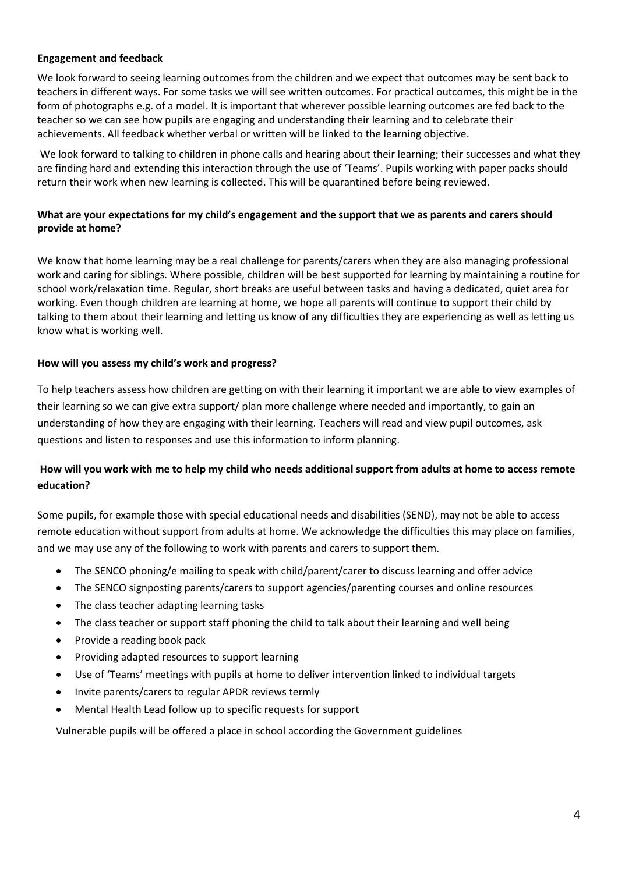## **Engagement and feedback**

We look forward to seeing learning outcomes from the children and we expect that outcomes may be sent back to teachers in different ways. For some tasks we will see written outcomes. For practical outcomes, this might be in the form of photographs e.g. of a model. It is important that wherever possible learning outcomes are fed back to the teacher so we can see how pupils are engaging and understanding their learning and to celebrate their achievements. All feedback whether verbal or written will be linked to the learning objective.

We look forward to talking to children in phone calls and hearing about their learning; their successes and what they are finding hard and extending this interaction through the use of 'Teams'. Pupils working with paper packs should return their work when new learning is collected. This will be quarantined before being reviewed.

# **What are your expectations for my child's engagement and the support that we as parents and carers should provide at home?**

We know that home learning may be a real challenge for parents/carers when they are also managing professional work and caring for siblings. Where possible, children will be best supported for learning by maintaining a routine for school work/relaxation time. Regular, short breaks are useful between tasks and having a dedicated, quiet area for working. Even though children are learning at home, we hope all parents will continue to support their child by talking to them about their learning and letting us know of any difficulties they are experiencing as well as letting us know what is working well.

## **How will you assess my child's work and progress?**

To help teachers assess how children are getting on with their learning it important we are able to view examples of their learning so we can give extra support/ plan more challenge where needed and importantly, to gain an understanding of how they are engaging with their learning. Teachers will read and view pupil outcomes, ask questions and listen to responses and use this information to inform planning.

# **How will you work with me to help my child who needs additional support from adults at home to access remote education?**

Some pupils, for example those with special educational needs and disabilities (SEND), may not be able to access remote education without support from adults at home. We acknowledge the difficulties this may place on families, and we may use any of the following to work with parents and carers to support them.

- The SENCO phoning/e mailing to speak with child/parent/carer to discuss learning and offer advice
- The SENCO signposting parents/carers to support agencies/parenting courses and online resources
- The class teacher adapting learning tasks
- The class teacher or support staff phoning the child to talk about their learning and well being
- Provide a reading book pack
- Providing adapted resources to support learning
- Use of 'Teams' meetings with pupils at home to deliver intervention linked to individual targets
- Invite parents/carers to regular APDR reviews termly
- Mental Health Lead follow up to specific requests for support

Vulnerable pupils will be offered a place in school according the Government guidelines